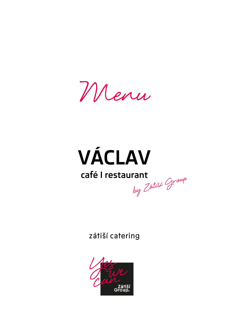Menu

# **VÁCLAV**

# café I restaurant by Zatiší Group

zátiší catering

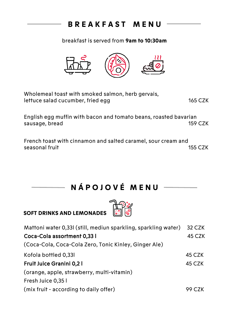# **B R E A K F A S T M E N U**

breakfast is served from **9am to 10:30am**



| Wholemeal toast with smoked salmon, herb gervais, |         |
|---------------------------------------------------|---------|
| lettuce salad cucumber, fried egg                 | 165 CZK |

English egg muffin with bacon and tomato beans, roasted bavarian sausage, bread 159 CZK

French toast with cinnamon and salted caramel, sour cream and seasonal fruit 155 CZK

> **N Á P O J O V É M E N U**  $\overline{\phantom{a}}$

#### **SOFT DRINKS AND LEMONADES**

| Mattoni water 0,331 (still, mediun sparkling, sparkling water) | 32 CZK  |
|----------------------------------------------------------------|---------|
| Coca-Cola assortment 0,33 l                                    | 45 CZK  |
| (Coca-Cola, Coca-Cola Zero, Tonic Kinley, Ginger Ale)          |         |
| Kofola bottled 0,331                                           | 45 CZK  |
| Fruit Juice Granini 0,2 l                                      | 45 CZK  |
| (orange, apple, strawberry, multi-vitamin)                     |         |
| Fresh Juice 0,35 l                                             |         |
| (mix fruit - according to daily offer)                         | 99 C.7K |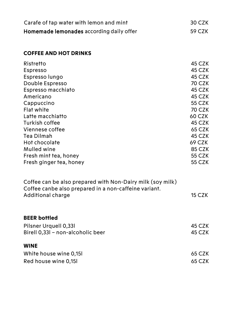| Carafe of tap water with lemon and mint  | 30 CZK |
|------------------------------------------|--------|
| Homemade lemonades according daily offer | 59 CZK |

#### **COFFEE AND HOT DRINKS**

| Ristretto                                                  | 45 CZK        |
|------------------------------------------------------------|---------------|
| Espresso                                                   | 45 CZK        |
| Espresso lungo                                             | 45 CZK        |
| Double Espresso                                            | 70 CZK        |
| Espresso macchiato                                         | 45 CZK        |
| Americano                                                  | 45 CZK        |
| Cappuccino                                                 | 55 CZK        |
| Flat white                                                 | 70 CZK        |
| Latte macchiatto                                           | 60 CZK        |
| Turkish coffee                                             | 45 CZK        |
| Viennese coffee                                            | 65 CZK        |
| Tea Dilmah                                                 | 45 CZK        |
| Hot chocolate                                              | 69 CZK        |
| Mulled wine                                                | <b>85 CZK</b> |
| Fresh mint tea, honey                                      | 55 CZK        |
| Fresh ginger tea, honey                                    | 55 CZK        |
| Coffee can be also prepared with Non-Dairy milk (soy milk) |               |

| CONCE CAN DE AISO DI EDALEU WINI NON-DAN Y MINA (SOY MINA) |        |
|------------------------------------------------------------|--------|
| Coffee canbe also prepared in a non-caffeine variant.      |        |
| Additional charge                                          | 15 CZK |
|                                                            |        |

#### **BEER bottled**

| Pilsner Urquell 0,331             | 45 CZK |
|-----------------------------------|--------|
| Birell 0,33l - non-alcoholic beer | 45 CZK |
|                                   |        |
| <b>WINE</b>                       |        |
| White house wine 0.151            | 65 CZK |
| Red house wine 0,151              | 65 CZK |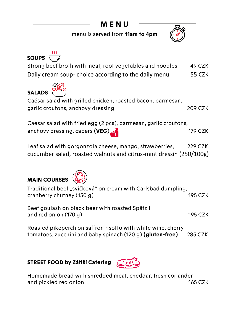# **M E N U**

menu is served from **11am to 4pm**



| <b>SOUPS</b>                                                                 |               |
|------------------------------------------------------------------------------|---------------|
| Strong beef broth with meat, root vegetables and noodles                     | 49 CZK        |
| Daily cream soup-choice according to the daily menu                          | <b>55 CZK</b> |
| <b>SALADS</b><br>Caésar salad with grilled chicken, roasted bacon, parmesan, |               |
| garlic croutons, anchovy dressing                                            | 209 CZK       |
| Caésar salad with fried egg (2 pcs), parmesan, garlic croutons,              |               |

Leaf salad with gorgonzola cheese, mango, strawberries,229 CZK cucumber salad, roasted walnuts and citrus-mint dressin (250/100g)

anchovy dressing, capers (**VEG**) 179 CZK

### **MAIN COURSES**



| Traditional beef "svičková" on cream with Carlsbad dumpling,<br>cranberry chutney (150 g) | 195 CZK |
|-------------------------------------------------------------------------------------------|---------|
| Beef goulash on black beer with roasted Spätzli<br>and red onion $(170 g)$                | 195 CZK |

Roasted pikeperch on saffron risotto with white wine, cherry tomatoes, zucchini and baby spinach (120 g) **(gluten-free)** 285 CZK

#### **STREET FOOD by Zátiší Catering**



Homemade bread with shredded meat, cheddar, fresh coriander and pickled red onion 165 CZK